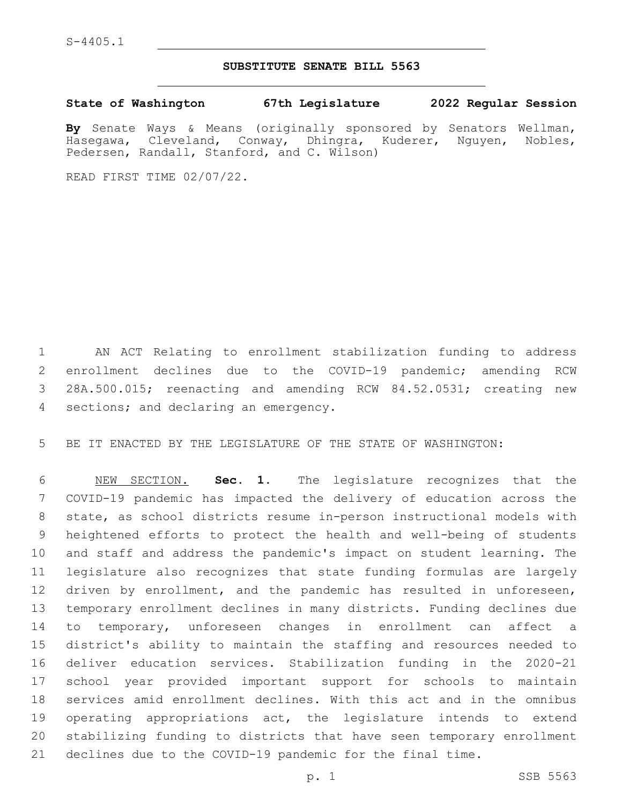## **SUBSTITUTE SENATE BILL 5563**

**State of Washington 67th Legislature 2022 Regular Session**

**By** Senate Ways & Means (originally sponsored by Senators Wellman, Hasegawa, Cleveland, Conway, Dhingra, Kuderer, Nguyen, Nobles, Pedersen, Randall, Stanford, and C. Wilson)

READ FIRST TIME 02/07/22.

 AN ACT Relating to enrollment stabilization funding to address enrollment declines due to the COVID-19 pandemic; amending RCW 28A.500.015; reenacting and amending RCW 84.52.0531; creating new 4 sections; and declaring an emergency.

BE IT ENACTED BY THE LEGISLATURE OF THE STATE OF WASHINGTON:

 NEW SECTION. **Sec. 1.** The legislature recognizes that the COVID-19 pandemic has impacted the delivery of education across the state, as school districts resume in-person instructional models with heightened efforts to protect the health and well-being of students and staff and address the pandemic's impact on student learning. The legislature also recognizes that state funding formulas are largely driven by enrollment, and the pandemic has resulted in unforeseen, temporary enrollment declines in many districts. Funding declines due to temporary, unforeseen changes in enrollment can affect a district's ability to maintain the staffing and resources needed to deliver education services. Stabilization funding in the 2020-21 school year provided important support for schools to maintain services amid enrollment declines. With this act and in the omnibus operating appropriations act, the legislature intends to extend stabilizing funding to districts that have seen temporary enrollment declines due to the COVID-19 pandemic for the final time.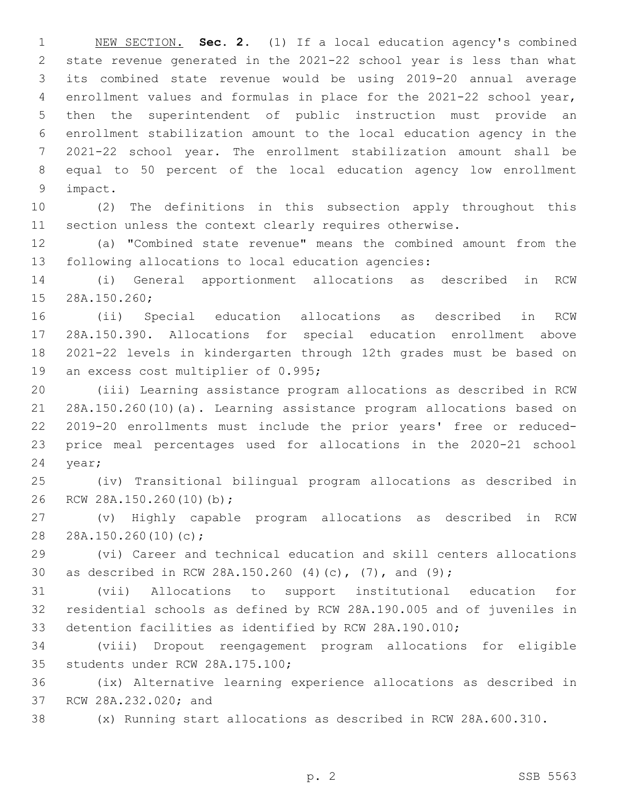NEW SECTION. **Sec. 2.** (1) If a local education agency's combined state revenue generated in the 2021-22 school year is less than what its combined state revenue would be using 2019-20 annual average enrollment values and formulas in place for the 2021-22 school year, then the superintendent of public instruction must provide an enrollment stabilization amount to the local education agency in the 2021-22 school year. The enrollment stabilization amount shall be equal to 50 percent of the local education agency low enrollment impact.

 (2) The definitions in this subsection apply throughout this section unless the context clearly requires otherwise.

 (a) "Combined state revenue" means the combined amount from the following allocations to local education agencies:

 (i) General apportionment allocations as described in RCW 15 28A.150.260;

 (ii) Special education allocations as described in RCW 28A.150.390. Allocations for special education enrollment above 2021-22 levels in kindergarten through 12th grades must be based on 19 an excess cost multiplier of 0.995;

 (iii) Learning assistance program allocations as described in RCW 28A.150.260(10)(a). Learning assistance program allocations based on 2019-20 enrollments must include the prior years' free or reduced- price meal percentages used for allocations in the 2020-21 school 24 year;

 (iv) Transitional bilingual program allocations as described in 26 RCW 28A.150.260(10)(b);

 (v) Highly capable program allocations as described in RCW 28 28A.150.260(10)(c);

 (vi) Career and technical education and skill centers allocations as described in RCW 28A.150.260 (4)(c), (7), and (9);

 (vii) Allocations to support institutional education for residential schools as defined by RCW 28A.190.005 and of juveniles in detention facilities as identified by RCW 28A.190.010;

 (viii) Dropout reengagement program allocations for eligible 35 students under RCW 28A.175.100;

 (ix) Alternative learning experience allocations as described in 37 RCW 28A.232.020; and

(x) Running start allocations as described in RCW 28A.600.310.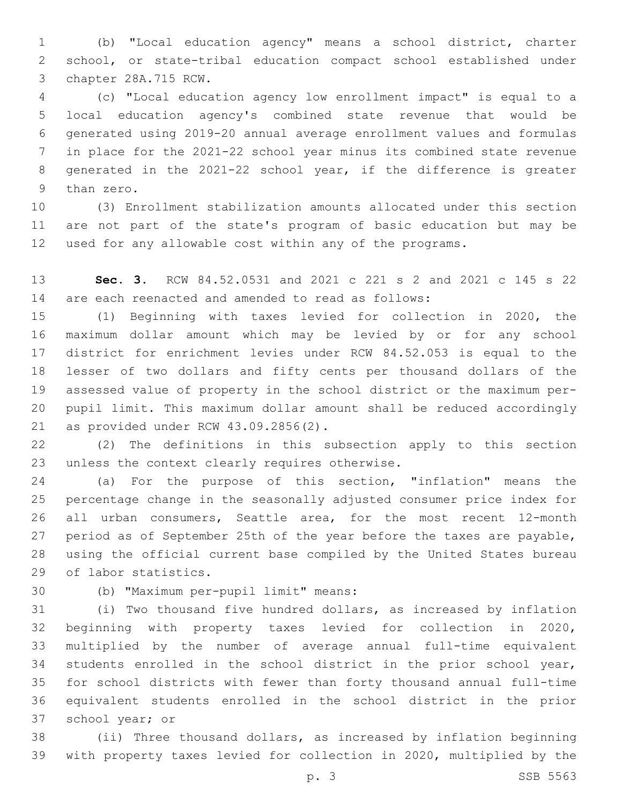(b) "Local education agency" means a school district, charter school, or state-tribal education compact school established under 3 chapter 28A.715 RCW.

 (c) "Local education agency low enrollment impact" is equal to a local education agency's combined state revenue that would be generated using 2019-20 annual average enrollment values and formulas in place for the 2021-22 school year minus its combined state revenue generated in the 2021-22 school year, if the difference is greater 9 than zero.

 (3) Enrollment stabilization amounts allocated under this section are not part of the state's program of basic education but may be used for any allowable cost within any of the programs.

 **Sec. 3.** RCW 84.52.0531 and 2021 c 221 s 2 and 2021 c 145 s 22 are each reenacted and amended to read as follows:

 (1) Beginning with taxes levied for collection in 2020, the maximum dollar amount which may be levied by or for any school district for enrichment levies under RCW 84.52.053 is equal to the lesser of two dollars and fifty cents per thousand dollars of the assessed value of property in the school district or the maximum per- pupil limit. This maximum dollar amount shall be reduced accordingly 21 as provided under RCW 43.09.2856(2).

 (2) The definitions in this subsection apply to this section 23 unless the context clearly requires otherwise.

 (a) For the purpose of this section, "inflation" means the percentage change in the seasonally adjusted consumer price index for all urban consumers, Seattle area, for the most recent 12-month period as of September 25th of the year before the taxes are payable, using the official current base compiled by the United States bureau 29 of labor statistics.

(b) "Maximum per-pupil limit" means:30

 (i) Two thousand five hundred dollars, as increased by inflation beginning with property taxes levied for collection in 2020, multiplied by the number of average annual full-time equivalent students enrolled in the school district in the prior school year, for school districts with fewer than forty thousand annual full-time equivalent students enrolled in the school district in the prior 37 school year; or

 (ii) Three thousand dollars, as increased by inflation beginning with property taxes levied for collection in 2020, multiplied by the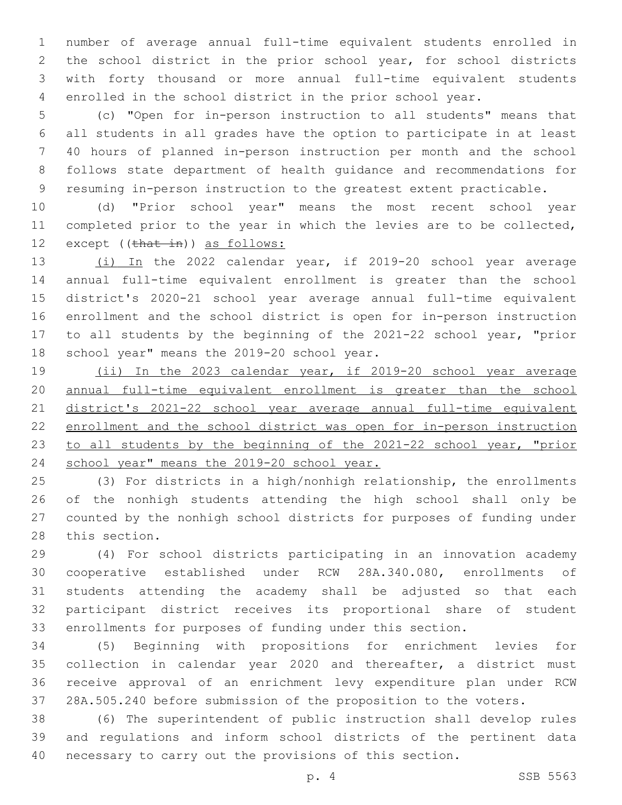number of average annual full-time equivalent students enrolled in the school district in the prior school year, for school districts with forty thousand or more annual full-time equivalent students enrolled in the school district in the prior school year.

 (c) "Open for in-person instruction to all students" means that all students in all grades have the option to participate in at least 40 hours of planned in-person instruction per month and the school follows state department of health guidance and recommendations for resuming in-person instruction to the greatest extent practicable.

 (d) "Prior school year" means the most recent school year completed prior to the year in which the levies are to be collected, 12 except ((that in)) as follows:

 (i) In the 2022 calendar year, if 2019-20 school year average annual full-time equivalent enrollment is greater than the school district's 2020-21 school year average annual full-time equivalent enrollment and the school district is open for in-person instruction to all students by the beginning of the 2021-22 school year, "prior 18 school year" means the 2019-20 school year.

 (ii) In the 2023 calendar year, if 2019-20 school year average annual full-time equivalent enrollment is greater than the school district's 2021-22 school year average annual full-time equivalent enrollment and the school district was open for in-person instruction to all students by the beginning of the 2021-22 school year, "prior school year" means the 2019-20 school year.

 (3) For districts in a high/nonhigh relationship, the enrollments of the nonhigh students attending the high school shall only be counted by the nonhigh school districts for purposes of funding under 28 this section.

 (4) For school districts participating in an innovation academy cooperative established under RCW 28A.340.080, enrollments of students attending the academy shall be adjusted so that each participant district receives its proportional share of student enrollments for purposes of funding under this section.

 (5) Beginning with propositions for enrichment levies for collection in calendar year 2020 and thereafter, a district must receive approval of an enrichment levy expenditure plan under RCW 28A.505.240 before submission of the proposition to the voters.

 (6) The superintendent of public instruction shall develop rules and regulations and inform school districts of the pertinent data necessary to carry out the provisions of this section.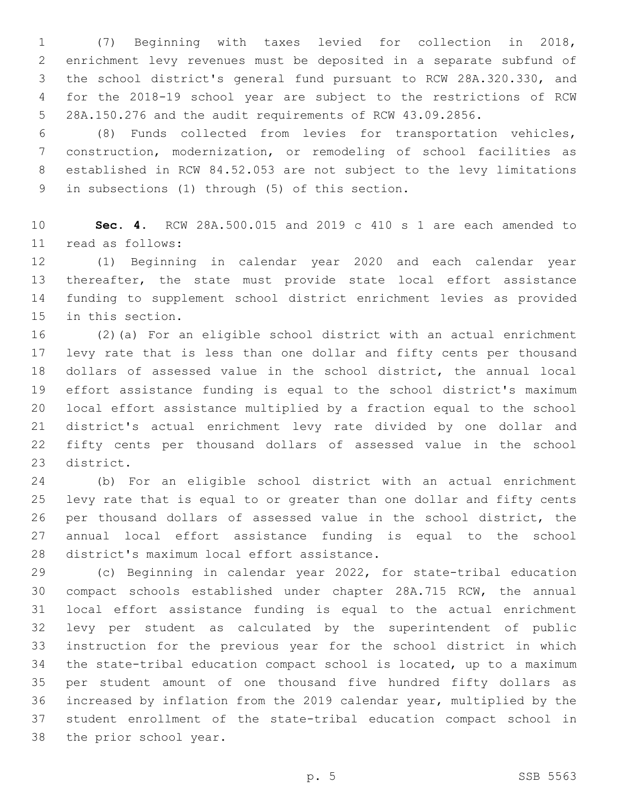(7) Beginning with taxes levied for collection in 2018, enrichment levy revenues must be deposited in a separate subfund of the school district's general fund pursuant to RCW 28A.320.330, and for the 2018-19 school year are subject to the restrictions of RCW 28A.150.276 and the audit requirements of RCW 43.09.2856.

 (8) Funds collected from levies for transportation vehicles, construction, modernization, or remodeling of school facilities as established in RCW 84.52.053 are not subject to the levy limitations 9 in subsections (1) through (5) of this section.

 **Sec. 4.** RCW 28A.500.015 and 2019 c 410 s 1 are each amended to read as follows:11

 (1) Beginning in calendar year 2020 and each calendar year thereafter, the state must provide state local effort assistance funding to supplement school district enrichment levies as provided 15 in this section.

 (2)(a) For an eligible school district with an actual enrichment levy rate that is less than one dollar and fifty cents per thousand dollars of assessed value in the school district, the annual local effort assistance funding is equal to the school district's maximum local effort assistance multiplied by a fraction equal to the school district's actual enrichment levy rate divided by one dollar and fifty cents per thousand dollars of assessed value in the school 23 district.

 (b) For an eligible school district with an actual enrichment levy rate that is equal to or greater than one dollar and fifty cents per thousand dollars of assessed value in the school district, the annual local effort assistance funding is equal to the school 28 district's maximum local effort assistance.

 (c) Beginning in calendar year 2022, for state-tribal education compact schools established under chapter 28A.715 RCW, the annual local effort assistance funding is equal to the actual enrichment levy per student as calculated by the superintendent of public instruction for the previous year for the school district in which the state-tribal education compact school is located, up to a maximum per student amount of one thousand five hundred fifty dollars as increased by inflation from the 2019 calendar year, multiplied by the student enrollment of the state-tribal education compact school in 38 the prior school year.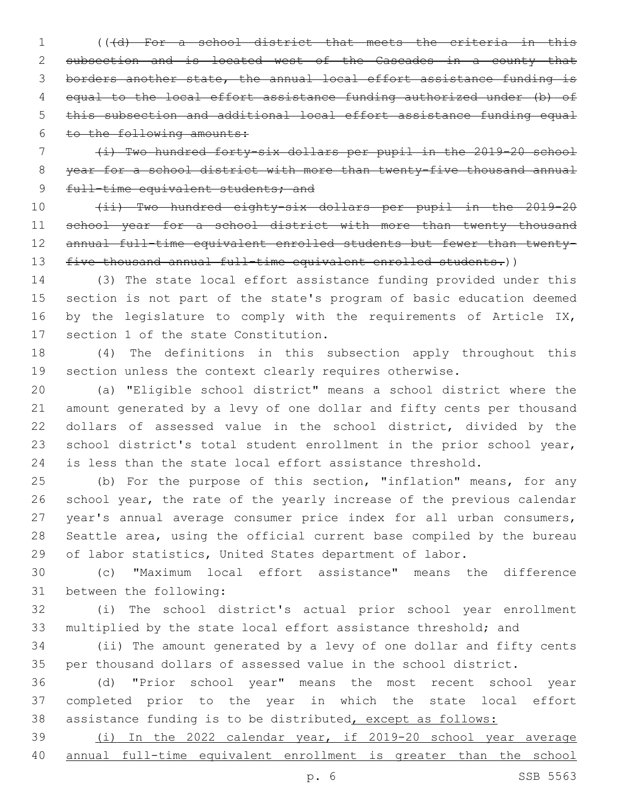(((d) For a school district that meets the criteria in this subsection and is located west of the Cascades in a county that borders another state, the annual local effort assistance funding is equal to the local effort assistance funding authorized under (b) of this subsection and additional local effort assistance funding equal to the following amounts:

 (i) Two hundred forty-six dollars per pupil in the 2019-20 school 8 year for a school district with more than twenty-five thousand annual 9 full-time equivalent students; and

 (ii) Two hundred eighty-six dollars per pupil in the 2019-20 11 school year for a school district with more than twenty thousand 12 annual full-time equivalent enrolled students but fewer than twenty-13 five thousand annual full-time equivalent enrolled students.))

 (3) The state local effort assistance funding provided under this section is not part of the state's program of basic education deemed 16 by the legislature to comply with the requirements of Article IX, 17 section 1 of the state Constitution.

 (4) The definitions in this subsection apply throughout this section unless the context clearly requires otherwise.

 (a) "Eligible school district" means a school district where the amount generated by a levy of one dollar and fifty cents per thousand dollars of assessed value in the school district, divided by the 23 school district's total student enrollment in the prior school year, is less than the state local effort assistance threshold.

 (b) For the purpose of this section, "inflation" means, for any school year, the rate of the yearly increase of the previous calendar year's annual average consumer price index for all urban consumers, Seattle area, using the official current base compiled by the bureau of labor statistics, United States department of labor.

 (c) "Maximum local effort assistance" means the difference 31 between the following:

 (i) The school district's actual prior school year enrollment multiplied by the state local effort assistance threshold; and

 (ii) The amount generated by a levy of one dollar and fifty cents per thousand dollars of assessed value in the school district.

 (d) "Prior school year" means the most recent school year completed prior to the year in which the state local effort assistance funding is to be distributed, except as follows:

 (i) In the 2022 calendar year, if 2019-20 school year average annual full-time equivalent enrollment is greater than the school

p. 6 SSB 5563